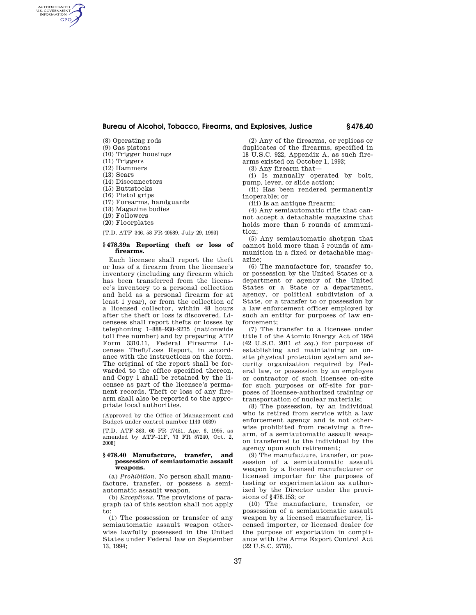# **Bureau of Alcohol, Tobacco, Firearms, and Explosives, Justice § 478.40**

- (8) Operating rods (9) Gas pistons
- (10) Trigger housings
- (11) Triggers
- (12) Hammers
- (13) Sears

AUTHENTICATED<br>U.S. GOVERNMENT<br>INFORMATION GPO

- (14) Disconnectors
- (15) Buttstocks
- (16) Pistol grips
- 
- (17) Forearms, handguards
- (18) Magazine bodies (19) Followers
- 
- (20) Floorplates

[T.D. ATF–346, 58 FR 40589, July 29, 1993]

## **§ 478.39a Reporting theft or loss of firearms.**

Each licensee shall report the theft or loss of a firearm from the licensee's inventory (including any firearm which has been transferred from the licensee's inventory to a personal collection and held as a personal firearm for at least 1 year), or from the collection of a licensed collector, within 48 hours after the theft or loss is discovered. Licensees shall report thefts or losses by telephoning 1–888–930–9275 (nationwide toll free number) and by preparing ATF Form 3310.11, Federal Firearms Licensee Theft/Loss Report, in accordance with the instructions on the form. The original of the report shall be forwarded to the office specified thereon, and Copy 1 shall be retained by the licensee as part of the licensee's permanent records. Theft or loss of any firearm shall also be reported to the appropriate local authorities.

(Approved by the Office of Management and Budget under control number 1140–0039)

[T.D. ATF–363, 60 FR 17451, Apr. 6, 1995, as amended by ATF–11F, 73 FR 57240, Oct. 2, 2008]

#### **§ 478.40 Manufacture, transfer, and possession of semiautomatic assault weapons.**

(a) *Prohibition.* No person shall manufacture, transfer, or possess a semiautomatic assault weapon.

(b) *Exceptions.* The provisions of paragraph (a) of this section shall not apply to:

(1) The possession or transfer of any semiautomatic assault weapon otherwise lawfully possessed in the United States under Federal law on September 13, 1994;

(2) Any of the firearms, or replicas or duplicates of the firearms, specified in 18 U.S.C. 922, Appendix A, as such firearms existed on October 1, 1993;

(3) Any firearm that—

(i) Is manually operated by bolt, pump, lever, or slide action;

(ii) Has been rendered permanently inoperable; or

(iii) Is an antique firearm;

(4) Any semiautomatic rifle that cannot accept a detachable magazine that holds more than 5 rounds of ammunition;

(5) Any semiautomatic shotgun that cannot hold more than 5 rounds of ammunition in a fixed or detachable magazine;

(6) The manufacture for, transfer to, or possession by the United States or a department or agency of the United States or a State or a department, agency, or political subdivision of a State, or a transfer to or possession by a law enforcement officer employed by such an entity for purposes of law enforcement;

(7) The transfer to a licensee under title I of the Atomic Energy Act of 1954 (42 U.S.C. 2011 *et seq.*) for purposes of establishing and maintaining an onsite physical protection system and security organization required by Federal law, or possession by an employee or contractor of such licensee on-site for such purposes or off-site for purposes of licensee-authorized training or transportation of nuclear materials;

(8) The possession, by an individual who is retired from service with a law enforcement agency and is not otherwise prohibited from receiving a firearm, of a semiautomatic assault weapon transferred to the individual by the agency upon such retirement;

(9) The manufacture, transfer, or possession of a semiautomatic assault weapon by a licensed manufacturer or licensed importer for the purposes of testing or experimentation as authorized by the Director under the provisions of §478.153; or

(10) The manufacture, transfer, or possession of a semiautomatic assault weapon by a licensed manufacturer, licensed importer, or licensed dealer for the purpose of exportation in compliance with the Arms Export Control Act (22 U.S.C. 2778).